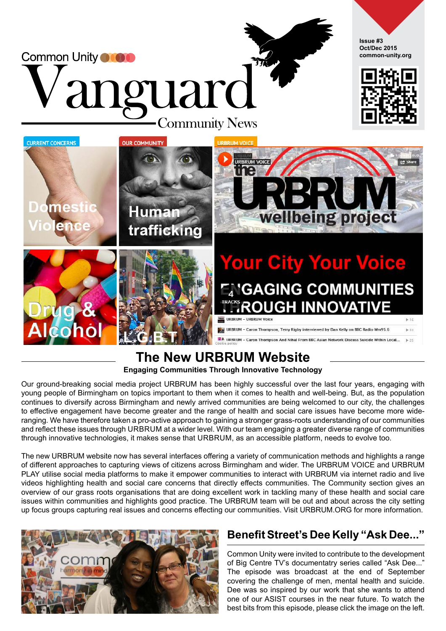

#### **The New URBRUM Website Engaging Communities Through Innovative Technology**

Our ground-breaking social media project URBRUM has been highly successful over the last four years, engaging with young people of Birmingham on topics important to them when it comes to health and well-being. But, as the population continues to diversify across Birmingham and newly arrived communities are being welcomed to our city, the challenges to effective engagement have become greater and the range of health and social care issues have become more wideranging. We have therefore taken a pro-active approach to gaining a stronger grass-roots understanding of our communities and reflect these issues through URBRUM at a wider level. With our team engaging a greater diverse range of communities through innovative technologies, it makes sense that URBRUM, as an accessible platform, needs to evolve too.

The new URBRUM website now has several interfaces offering a variety of communication methods and highlights a range of different approaches to capturing views of citizens across Birmingham and wider. The URBRUM VOICE and URBRUM PLAY utilise social media platforms to make it empower communities to interact with URBRUM via internet radio and live videos highlighting health and social care concerns that directly effects communities. The Community section gives an overview of our grass roots organisations that are doing excellent work in tackling many of these health and social care issues within communities and highlights good practice. The URBRUM team will be out and about across the city setting up focus groups capturing real issues and concerns effecting our communities. Visit URBRUM.ORG for more information.



#### **Benefit Street's Dee Kelly "Ask Dee..."**

Common Unity were invited to contribute to the development of Big Centre TV's documentatry series called "Ask Dee..." The episode was broadcast at the end of September covering the challenge of men, mental health and suicide. Dee was so inspired by our work that she wants to attend one of our ASIST courses in the near future. To watch the best bits from this episode, please click the image on the left.